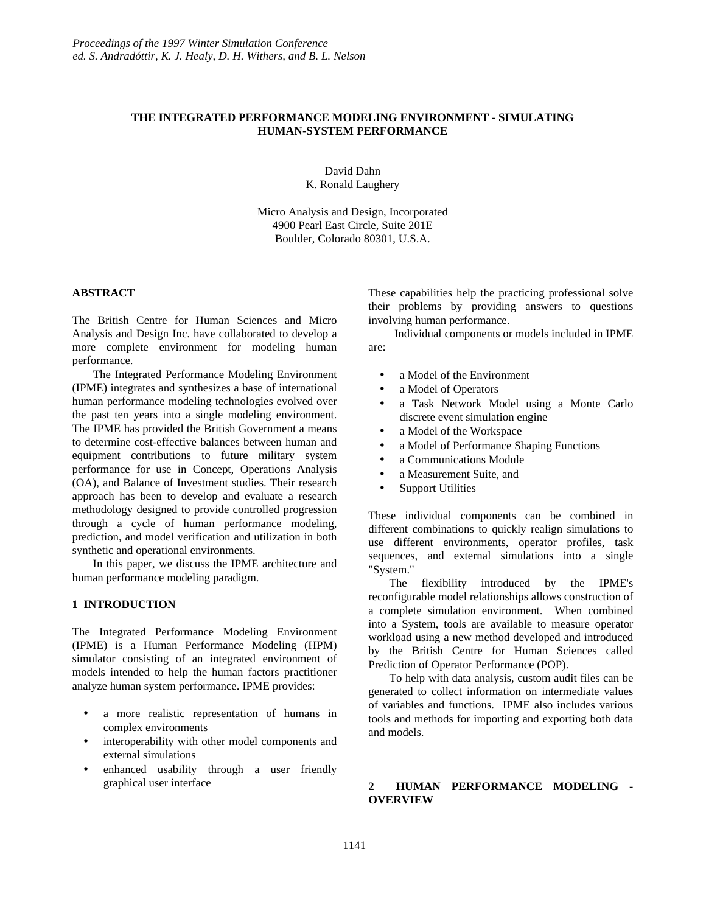# **THE INTEGRATED PERFORMANCE MODELING ENVIRONMENT - SIMULATING HUMAN-SYSTEM PERFORMANCE**

David Dahn K. Ronald Laughery

Micro Analysis and Design, Incorporated 4900 Pearl East Circle, Suite 201E Boulder, Colorado 80301, U.S.A.

## **ABSTRACT**

The British Centre for Human Sciences and Micro Analysis and Design Inc. have collaborated to develop a more complete environment for modeling human performance.

The Integrated Performance Modeling Environment (IPME) integrates and synthesizes a base of international human performance modeling technologies evolved over the past ten years into a single modeling environment. The IPME has provided the British Government a means to determine cost-effective balances between human and equipment contributions to future military system performance for use in Concept, Operations Analysis (OA), and Balance of Investment studies. Their research approach has been to develop and evaluate a research methodology designed to provide controlled progression through a cycle of human performance modeling, prediction, and model verification and utilization in both synthetic and operational environments.

In this paper, we discuss the IPME architecture and human performance modeling paradigm.

#### **1 INTRODUCTION**

The Integrated Performance Modeling Environment (IPME) is a Human Performance Modeling (HPM) simulator consisting of an integrated environment of models intended to help the human factors practitioner analyze human system performance. IPME provides:

- a more realistic representation of humans in complex environments
- interoperability with other model components and external simulations
- enhanced usability through a user friendly graphical user interface

These capabilities help the practicing professional solve their problems by providing answers to questions involving human performance.

Individual components or models included in IPME are:

- a Model of the Environment
- a Model of Operators
- a Task Network Model using a Monte Carlo discrete event simulation engine
- a Model of the Workspace
- a Model of Performance Shaping Functions
- a Communications Module
- a Measurement Suite, and
- **Support Utilities**

These individual components can be combined in different combinations to quickly realign simulations to use different environments, operator profiles, task sequences, and external simulations into a single "System."

The flexibility introduced by the IPME's reconfigurable model relationships allows construction of a complete simulation environment. When combined into a System, tools are available to measure operator workload using a new method developed and introduced by the British Centre for Human Sciences called Prediction of Operator Performance (POP).

To help with data analysis, custom audit files can be generated to collect information on intermediate values of variables and functions. IPME also includes various tools and methods for importing and exporting both data and models.

# **2 HUMAN PERFORMANCE MODELING - OVERVIEW**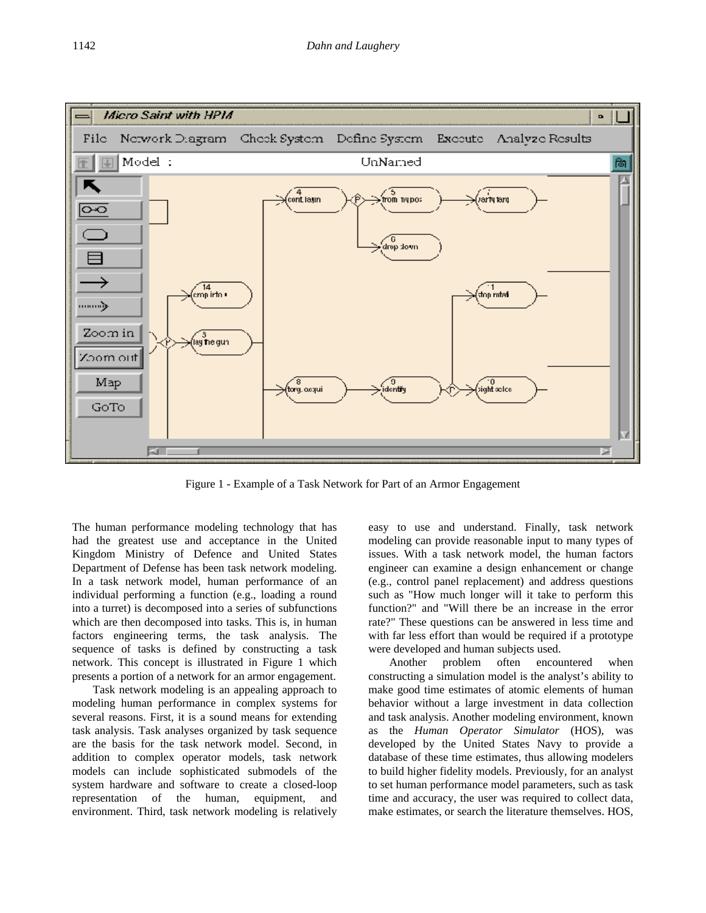

Figure 1 - Example of a Task Network for Part of an Armor Engagement

The human performance modeling technology that has had the greatest use and acceptance in the United Kingdom Ministry of Defence and United States Department of Defense has been task network modeling. In a task network model, human performance of an individual performing a function (e.g., loading a round into a turret) is decomposed into a series of subfunctions which are then decomposed into tasks. This is, in human factors engineering terms, the task analysis. The sequence of tasks is defined by constructing a task network. This concept is illustrated in Figure 1 which presents a portion of a network for an armor engagement.

Task network modeling is an appealing approach to modeling human performance in complex systems for several reasons. First, it is a sound means for extending task analysis. Task analyses organized by task sequence are the basis for the task network model. Second, in addition to complex operator models, task network models can include sophisticated submodels of the system hardware and software to create a closed-loop representation of the human, equipment, and environment. Third, task network modeling is relatively

easy to use and understand. Finally, task network modeling can provide reasonable input to many types of issues. With a task network model, the human factors engineer can examine a design enhancement or change (e.g., control panel replacement) and address questions such as "How much longer will it take to perform this function?" and "Will there be an increase in the error rate?" These questions can be answered in less time and with far less effort than would be required if a prototype were developed and human subjects used.

Another problem often encountered when constructing a simulation model is the analyst's ability to make good time estimates of atomic elements of human behavior without a large investment in data collection and task analysis. Another modeling environment, known as the *Human Operator Simulator* (HOS), was developed by the United States Navy to provide a database of these time estimates, thus allowing modelers to build higher fidelity models. Previously, for an analyst to set human performance model parameters, such as task time and accuracy, the user was required to collect data, make estimates, or search the literature themselves. HOS,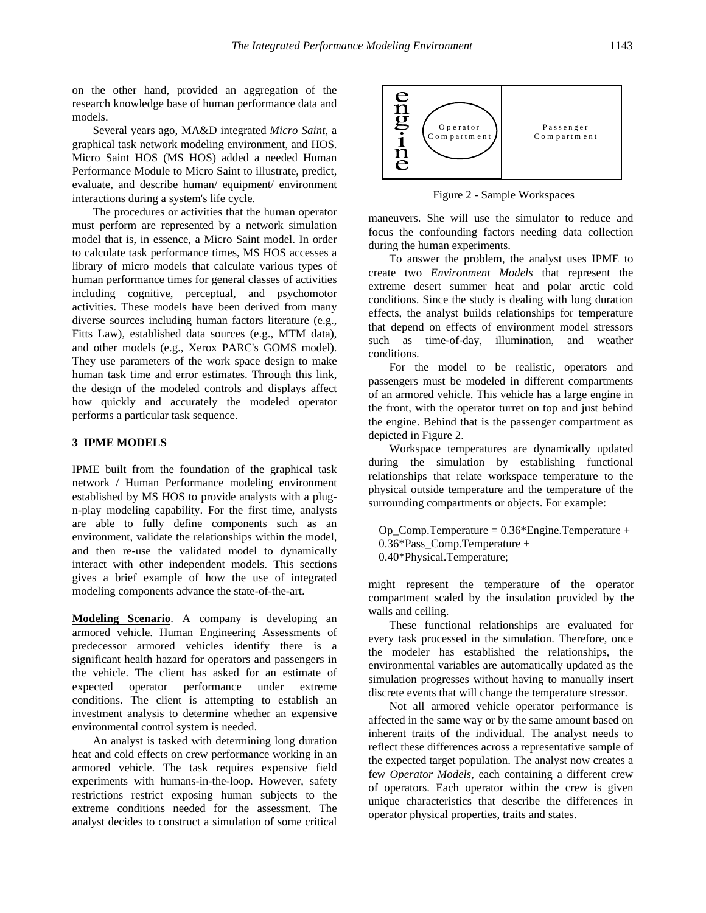on the other hand, provided an aggregation of the research knowledge base of human performance data and models.

Several years ago, MA&D integrated *Micro Saint*, a graphical task network modeling environment, and HOS. Micro Saint HOS (MS HOS) added a needed Human Performance Module to Micro Saint to illustrate, predict, evaluate, and describe human/ equipment/ environment interactions during a system's life cycle.

The procedures or activities that the human operator must perform are represented by a network simulation model that is, in essence, a Micro Saint model. In order to calculate task performance times, MS HOS accesses a library of micro models that calculate various types of human performance times for general classes of activities including cognitive, perceptual, and psychomotor activities. These models have been derived from many diverse sources including human factors literature (e.g., Fitts Law), established data sources (e.g., MTM data), and other models (e.g., Xerox PARC's GOMS model). They use parameters of the work space design to make human task time and error estimates. Through this link, the design of the modeled controls and displays affect how quickly and accurately the modeled operator performs a particular task sequence.

## **3 IPME MODELS**

IPME built from the foundation of the graphical task network / Human Performance modeling environment established by MS HOS to provide analysts with a plugn-play modeling capability. For the first time, analysts are able to fully define components such as an environment, validate the relationships within the model, and then re-use the validated model to dynamically interact with other independent models. This sections gives a brief example of how the use of integrated modeling components advance the state-of-the-art.

**Modeling Scenario**. A company is developing an armored vehicle. Human Engineering Assessments of predecessor armored vehicles identify there is a significant health hazard for operators and passengers in the vehicle. The client has asked for an estimate of expected operator performance under extreme conditions. The client is attempting to establish an investment analysis to determine whether an expensive environmental control system is needed.

An analyst is tasked with determining long duration heat and cold effects on crew performance working in an armored vehicle. The task requires expensive field experiments with humans-in-the-loop. However, safety restrictions restrict exposing human subjects to the extreme conditions needed for the assessment. The analyst decides to construct a simulation of some critical



Figure 2 - Sample Workspaces

maneuvers. She will use the simulator to reduce and focus the confounding factors needing data collection during the human experiments.

To answer the problem, the analyst uses IPME to create two *Environment Models* that represent the extreme desert summer heat and polar arctic cold conditions. Since the study is dealing with long duration effects, the analyst builds relationships for temperature that depend on effects of environment model stressors such as time-of-day, illumination, and weather conditions.

For the model to be realistic, operators and passengers must be modeled in different compartments of an armored vehicle. This vehicle has a large engine in the front, with the operator turret on top and just behind the engine. Behind that is the passenger compartment as depicted in Figure 2.

Workspace temperatures are dynamically updated during the simulation by establishing functional relationships that relate workspace temperature to the physical outside temperature and the temperature of the surrounding compartments or objects. For example:

Op\_Comp.Temperature = 0.36\*Engine.Temperature + 0.36\*Pass\_Comp.Temperature + 0.40\*Physical.Temperature;

might represent the temperature of the operator compartment scaled by the insulation provided by the walls and ceiling.

These functional relationships are evaluated for every task processed in the simulation. Therefore, once the modeler has established the relationships, the environmental variables are automatically updated as the simulation progresses without having to manually insert discrete events that will change the temperature stressor.

Not all armored vehicle operator performance is affected in the same way or by the same amount based on inherent traits of the individual. The analyst needs to reflect these differences across a representative sample of the expected target population. The analyst now creates a few *Operator Models*, each containing a different crew of operators. Each operator within the crew is given unique characteristics that describe the differences in operator physical properties, traits and states.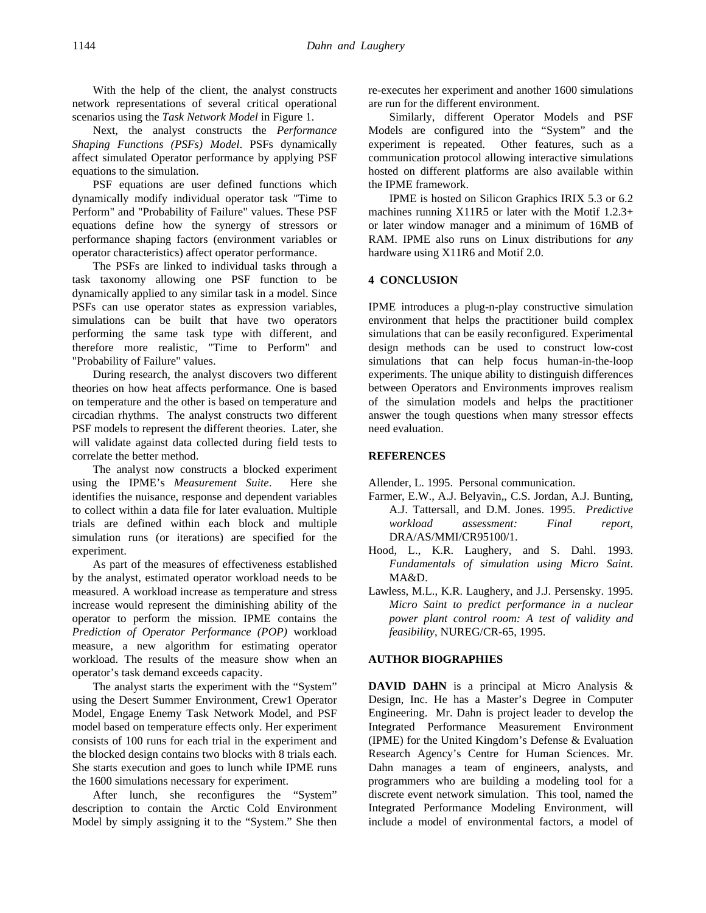With the help of the client, the analyst constructs network representations of several critical operational scenarios using the *Task Network Model* in Figure 1.

Next, the analyst constructs the *Performance Shaping Functions (PSFs) Model*. PSFs dynamically affect simulated Operator performance by applying PSF equations to the simulation.

PSF equations are user defined functions which dynamically modify individual operator task "Time to Perform" and "Probability of Failure" values. These PSF equations define how the synergy of stressors or performance shaping factors (environment variables or operator characteristics) affect operator performance.

The PSFs are linked to individual tasks through a task taxonomy allowing one PSF function to be dynamically applied to any similar task in a model. Since PSFs can use operator states as expression variables, simulations can be built that have two operators performing the same task type with different, and therefore more realistic, "Time to Perform" and "Probability of Failure" values.

During research, the analyst discovers two different theories on how heat affects performance. One is based on temperature and the other is based on temperature and circadian rhythms. The analyst constructs two different PSF models to represent the different theories. Later, she will validate against data collected during field tests to correlate the better method.

The analyst now constructs a blocked experiment using the IPME's *Measurement Suite*. Here she identifies the nuisance, response and dependent variables to collect within a data file for later evaluation. Multiple trials are defined within each block and multiple simulation runs (or iterations) are specified for the experiment.

As part of the measures of effectiveness established by the analyst, estimated operator workload needs to be measured. A workload increase as temperature and stress increase would represent the diminishing ability of the operator to perform the mission. IPME contains the *Prediction of Operator Performance (POP)* workload measure, a new algorithm for estimating operator workload. The results of the measure show when an operator's task demand exceeds capacity.

The analyst starts the experiment with the "System" using the Desert Summer Environment, Crew1 Operator Model, Engage Enemy Task Network Model, and PSF model based on temperature effects only. Her experiment consists of 100 runs for each trial in the experiment and the blocked design contains two blocks with 8 trials each. She starts execution and goes to lunch while IPME runs the 1600 simulations necessary for experiment.

After lunch, she reconfigures the "System" description to contain the Arctic Cold Environment Model by simply assigning it to the "System." She then

re-executes her experiment and another 1600 simulations are run for the different environment.

Similarly, different Operator Models and PSF Models are configured into the "System" and the experiment is repeated. Other features, such as a communication protocol allowing interactive simulations hosted on different platforms are also available within the IPME framework.

IPME is hosted on Silicon Graphics IRIX 5.3 or 6.2 machines running X11R5 or later with the Motif 1.2.3+ or later window manager and a minimum of 16MB of RAM. IPME also runs on Linux distributions for *any* hardware using X11R6 and Motif 2.0.

## **4 CONCLUSION**

IPME introduces a plug-n-play constructive simulation environment that helps the practitioner build complex simulations that can be easily reconfigured. Experimental design methods can be used to construct low-cost simulations that can help focus human-in-the-loop experiments. The unique ability to distinguish differences between Operators and Environments improves realism of the simulation models and helps the practitioner answer the tough questions when many stressor effects need evaluation.

#### **REFERENCES**

Allender, L. 1995. Personal communication.

- Farmer, E.W., A.J. Belyavin,, C.S. Jordan, A.J. Bunting, A.J. Tattersall, and D.M. Jones. 1995. *Predictive workload assessment: Final report*, DRA/AS/MMI/CR95100/1.
- Hood, L., K.R. Laughery, and S. Dahl. 1993. *Fundamentals of simulation using Micro Saint*. MA&D.
- Lawless, M.L., K.R. Laughery, and J.J. Persensky. 1995. *Micro Saint to predict performance in a nuclear power plant control room: A test of validity and feasibility*, NUREG/CR-65, 1995.

#### **AUTHOR BIOGRAPHIES**

**DAVID DAHN** is a principal at Micro Analysis & Design, Inc. He has a Master's Degree in Computer Engineering. Mr. Dahn is project leader to develop the Integrated Performance Measurement Environment (IPME) for the United Kingdom's Defense & Evaluation Research Agency's Centre for Human Sciences. Mr. Dahn manages a team of engineers, analysts, and programmers who are building a modeling tool for a discrete event network simulation. This tool, named the Integrated Performance Modeling Environment, will include a model of environmental factors, a model of